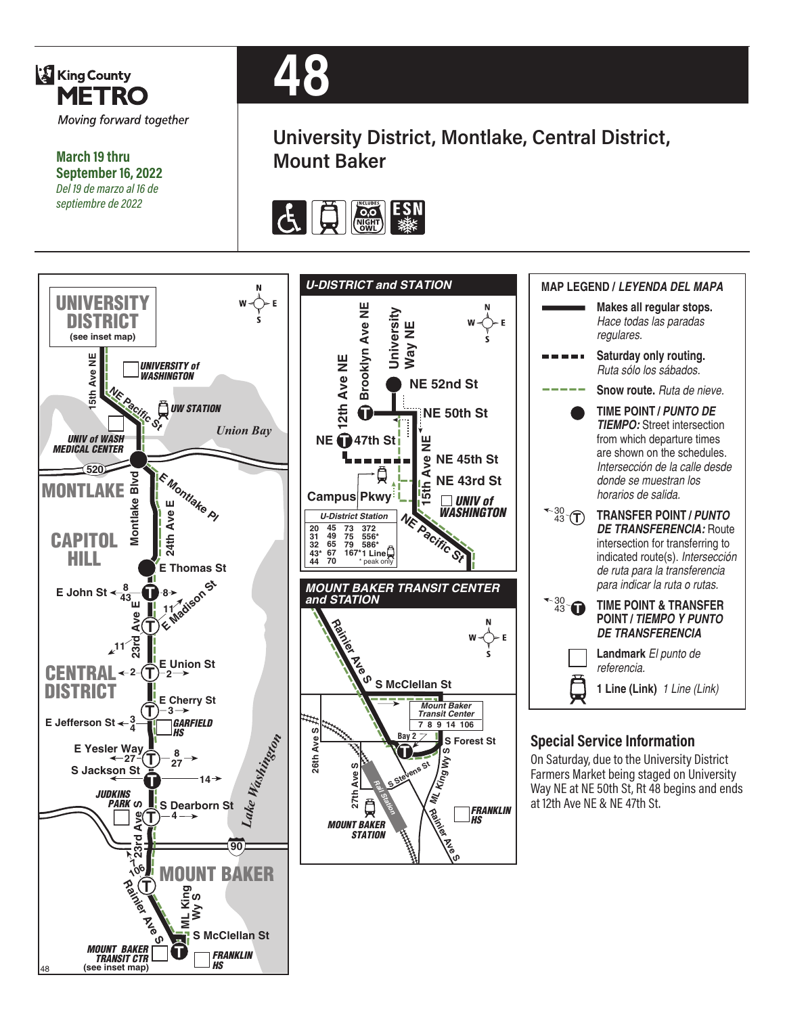

**March 19 thru September 16, 2022** *Del 19 de marzo al 16 de septiembre de 2022*

48



**University District, Montlake, Central District, Mount Baker**



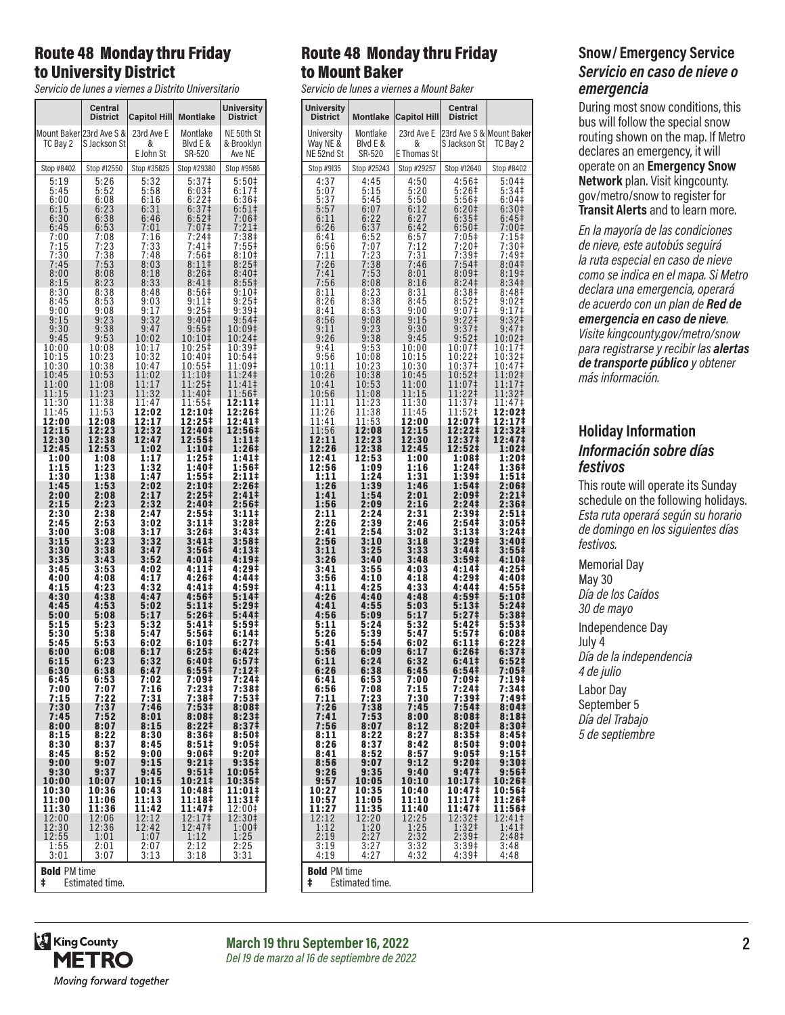### Route 48 Monday thru Friday to University District

*Servicio de lunes a viernes a Distrito Universitario*

|                                             | Central<br>District                          | <b>Capitol Hill</b>      | <b>Montlake</b>                                    | University<br><b>District</b>   |
|---------------------------------------------|----------------------------------------------|--------------------------|----------------------------------------------------|---------------------------------|
| TC Bay 2                                    | Mount Baker 23rd Ave S &<br>S Jackson St     | 23rd Ave E<br>&          | Montlake<br>Blyd E &                               | NE 50th St<br>& Brooklyn        |
| Stop #8402                                  | Stop #12550                                  | E John St<br>Stop #35825 | SR-520<br>Stop #29380                              | Ave NE<br>Stop #9586            |
| 5:19                                        | 5:26                                         | 5:32                     | 5:37‡                                              |                                 |
| 5:45                                        | 5:52                                         | 5:58                     | 6:03#                                              | 5:50‡<br>6:17‡                  |
| 6:00<br>6:15                                | 6:08<br>$6:23$<br>$6:38$                     | 6:16<br>$6:31$<br>$6:46$ | 6:22‡<br>$6:37‡$<br>6:52‡                          | 6:36 <sup>‡</sup><br>$6:51\neq$ |
| 6:30<br>6:45                                | 6:53                                         | 7:01                     | 7:07‡                                              | 7:06‡                           |
| 7:00<br>7:15                                | 7:08                                         | 7:16<br>7:33             | $7:24+$<br>7:41‡                                   | 7:21‡<br>7:38‡                  |
| 7:30                                        | $7:23$<br>$7:38$                             | 7:48                     | :56 <sup>‡</sup><br>7                              | 7:55‡<br>8:10‡                  |
| 7:45<br>8:00                                | 7:53<br>8:08                                 | 8:03<br>8:18             | $8:11$ ‡<br>8:26‡                                  | 8:25#<br>8:40‡                  |
| 8:15<br>8:30                                | 8:23<br>8:38                                 | 8:33<br>8:48             | 8:41‡<br>8:56‡                                     | 8:55‡<br>9:10‡                  |
| 8:45<br>9:00                                | 8:53<br>9:08                                 | 9:03<br>9:17             | 9:11<br>$9:25$ ‡                                   | $9:25#$<br>9:39‡                |
| $9:15$<br>$9:30$                            | 9:23                                         | 9:32                     | 9:40‡                                              | 9:54‡                           |
| 9:45                                        | $\overline{38}$<br>9:<br>9:53                | 9:47<br>10:02            | 9:55<br>10:10‡                                     | 10:09‡<br>10:24‡                |
| 10:00<br>10:15                              | 10:08<br>10:23                               | 10:17<br>10:32           | 10:25‡<br>10:40‡                                   | 10:39‡<br>10:54‡                |
| 10:30<br>10:45                              | 10:38                                        | 10:47                    | 10:55‡<br>11:10‡                                   | 11:09‡<br>1:241                 |
| 11:00                                       | 10:53<br>11:08                               | 1:02<br>1<br>11:17       | 11:25‡                                             | 1<br>11:41‡                     |
| 11:15<br>11:30                              | 11:23<br>11:38                               | 1:32<br>1<br>11:47       | 11:40‡<br>11:55‡                                   | 11:56‡<br>12:11‡                |
| 11:45<br>12:00                              | 11:53<br>12:08                               | 12:02<br>12:17           | 12:10‡<br>12:25‡                                   | 12:26‡<br>12:41‡                |
| 12:15                                       | 12:23                                        | 12:32                    | 12:40‡                                             | 12:56‡                          |
| 12:30<br>12:45                              | 12:38<br>12:53                               | 12:47<br>1:02            | 12:55‡<br>1:10‡                                    | 1:11‡<br>1:26‡                  |
| 1:00<br>1:15                                | 1:08<br>1:23                                 | 1:17<br>1:32             | 1:25‡<br>1:40‡                                     | 1:41‡<br>1:56‡                  |
| 1:30                                        | 1:38                                         | 1:47                     | 1:55‡                                              | 2:11‡                           |
| 1:45<br>2:00                                | 1:53<br>2:08                                 | 2:02<br>2:17             | 2:10 <sup>‡</sup><br>2:25 <sup>‡</sup>             | 2:26‡<br>2:41‡                  |
| 2:15<br>2:30                                | 2:23<br>2:38                                 | 2:32<br>2:47             | 2:40‡<br>2:557                                     | 2:56‡<br>3:11‡                  |
| 2:45                                        | 2:53<br>3:08                                 | $3:02$<br>$3:17$         | 3:11‡<br>3:26#                                     | 3:28‡                           |
| 3:00<br>3:15                                | 3:23                                         | 3:32                     | 3:41‡                                              | 3:43‡<br>3:58‡                  |
| 3:30<br>3:35                                | 3:38<br>3:43                                 | 3:47<br>3:52             | 3:56‡<br>4:01‡                                     | 4:13‡<br>4:19‡                  |
| 3:45<br>4:00                                | 3:53<br>4:08                                 | 4:02<br>4:17             | 4:11‡<br>4:26‡                                     | 4:29‡<br>4:44‡                  |
| 4:15                                        | 4:23                                         | 4:32                     | 4:41‡                                              | 4:59‡                           |
| 4:30<br>4:45                                | 4:38<br>4:53                                 | 4:47<br>5:02             | 4:56‡<br>5:11‡                                     | 5:14‡<br>5:29‡                  |
| 5:00<br>5:15                                | 5:08<br>5:23                                 | 5:17<br>5:32             | 5:26‡<br>5:411                                     | 5:441<br>5:59#                  |
| 5:30<br>5:45                                | 5:38<br>5:53                                 | 5:47<br>6:02             | 5:56‡<br>6:10‡                                     | 6:141<br>6:27 <sup>‡</sup>      |
| 6:00                                        | 6:08                                         | 6:17                     | 6:25#                                              | 6:42‡                           |
| 6:15<br>6:30                                | 6:23<br>6:38                                 | 6:32<br>6:47             | 6:40‡<br>6:55‡                                     | 6:57 <sup>‡</sup><br>7:12‡      |
| 6:45<br>7:00                                | 6:53<br>7:07                                 | 7:02<br>7:16             | 7:09‡<br>7:23‡                                     | 7:24‡<br>7:38‡                  |
| 7:15                                        | 7:22                                         | 7:31                     | 7:38‡                                              | 7:53‡                           |
| 7:30<br>7:45                                | 7:37<br>7:52                                 | 7:46<br>8:01             | 7:53‡<br>8:08‡                                     | 8:08‡<br>8:23 <sup>‡</sup>      |
| 8:00<br>8:15                                | 8:07<br>8:22                                 | 8:15<br>8:30             | 8:221<br>8:36#                                     | 8:37 <sup>‡</sup><br>8:50‡      |
| 8:30                                        | 8:37<br>8:52                                 | 8:45                     | 8:51#                                              | 9:05‡<br>9:20‡                  |
| 8:45<br>9:00                                | 9:07                                         | 9:00<br>9:15             | 9:06‡<br>9:21‡                                     | 9:35‡                           |
| 9:30<br>10:00                               | 9:37<br>10:07                                | 9:45<br>10:15            | 9:51‡<br>10:21‡                                    | 10:05‡<br>10:35‡                |
| 10:30<br>11:00                              | 10:36<br>11:06                               | 10:43<br>11:13           | 10:48‡<br>11:18‡                                   | 11:01‡<br>11:31‡                |
| 11:30                                       | 11:36<br>12:06                               | 11:42                    | 11:47‡                                             | 12:00‡<br>12:30‡                |
| 12:00<br>12:30<br>12:55                     | $\begin{array}{c} 12:36 \\ 1:01 \end{array}$ | 12:12<br>12:42           | 12:17‡<br>12:47‡<br>1:12                           | $1:00$ ‡                        |
| 1:55                                        | 2:01                                         | 1:07<br>2:07             |                                                    | 1:25                            |
| 3:01                                        | 3:07                                         | 3:13                     | $\begin{smallmatrix} 2:12\ 3:18 \end{smallmatrix}$ | $\frac{2:25}{3:31}$             |
| <b>Bold PM time</b><br>ŧ<br>Estimated time. |                                              |                          |                                                    |                                 |

## Route 48 Monday thru Friday to Mount Baker

*Servicio de lunes a viernes a Mount Baker*

| <b>University</b><br><b>District</b> | <b>Montlake</b>     | Capitol Hill          | Central<br><b>District</b> |                            |  |
|--------------------------------------|---------------------|-----------------------|----------------------------|----------------------------|--|
| University                           | Montlake            | 23rd Ave E            | S Jackson St               | 23rd Ave S & Mount Baker   |  |
| Way NE &                             | Blyd E &            | &                     |                            | TC Bay 2                   |  |
| NE 52nd St                           | SR-520              | E Thomas St           |                            |                            |  |
| Stop #9135                           | Stop #25243         | Stop #29257           | Stop #12640                | Stop #8402                 |  |
| 4:37                                 | 4:45                | 4:50                  | 4:56‡                      | 5:04                       |  |
| 5:07                                 | 5:15                | 5:20                  | $5:26+$                    | 5:34‡                      |  |
| 5:37                                 | 5:45                | 5:50                  | 5:56‡                      | 6:04 <sup>‡</sup>          |  |
| 5:57                                 | 6:07                |                       | 6:201                      | 6:30 <sup>‡</sup>          |  |
| 6:11                                 | 6:22                | $6:12$<br>$6:27$      | 6:35 <sup>‡</sup>          | $6:45\dagger$              |  |
| 6:26                                 | 6:37                | 6:42                  | 6:50‡                      | 7:00‡                      |  |
| 6:41                                 | 6:52                | 6:57<br>7:12          | 7:05‡                      | 7:15‡                      |  |
| 6:56                                 | 7:07                | 7:31                  | $7:20$ ‡                   | 7:30‡                      |  |
| 7:11                                 | $7:23$<br>$7:38$    |                       | 7:39‡<br>7:54‡             | 7:49‡                      |  |
| 7:26<br>7:41                         | 7:53                | 7:46<br>8:01          | 8:09‡                      | 8:04 <sup>‡</sup><br>8:19‡ |  |
| 7:56                                 | 8:08                | 8:16                  | 8:24 <sup>‡</sup>          | 8:34 <sup>‡</sup>          |  |
| 8:11                                 | 8:23                | 8:31                  | 8:38 <sup>‡</sup>          | 8:48‡                      |  |
| 8:26                                 | $8:38$<br>$8:53$    | 8:45                  | 8:52                       | 9:02‡                      |  |
| 8:41                                 | 9:08                | 9:00                  | $9:07$ ‡                   | 9:17‡                      |  |
| 8:56                                 |                     | 9:15                  | $9:22$ ‡                   | 9:32 <sup>†</sup>          |  |
| 9:11                                 | 9:23                | 9:30                  | 9:37 <sup>‡</sup>          | 9:47 <sup>‡</sup>          |  |
| 9:26                                 | 9:38                | 9:45                  | $9:52$ ‡                   | 10:02‡                     |  |
| 9:41                                 | 9:53                | 10:00                 | 10:07‡                     | 10:17‡                     |  |
| 9:56                                 | 10:08               | 10:15                 | 10:22‡                     | 10:32‡                     |  |
| 10:11                                | 10:23               | 10:30                 | 10:37 <sup>1</sup>         | 10:47‡                     |  |
| 10:26                                | 10:38               | 10:45                 | 10:52‡                     | 11:02‡                     |  |
| 10:41                                | 10:53               | 11:00                 | 11:07‡                     | 11:17‡                     |  |
| 10:56                                | 11:08               | 11:15                 | 11:22‡                     | 11:32‡                     |  |
| 11:11                                | 11:23               | 11:30                 | 11:37 <sup>‡</sup>         | 11:47‡                     |  |
| 11:26                                | 11:38               | 11:45                 | 11:52‡                     | 12:02‡                     |  |
| 11:41                                | 11:53               | 12:00                 | 12:07‡                     | 12:17‡                     |  |
| 11:56                                | 12:08               | 12:15                 | 12:22‡                     | 12:32‡                     |  |
| 12:11                                | 12:23               | 12:30                 | 12:37‡                     | 12:47‡                     |  |
| 12:26                                | 12:38               | 12:45                 | 12:52‡                     | 1:02‡                      |  |
| 12:41                                | 12:53               | 1:00                  | 1:08‡                      | 1:20‡                      |  |
| 12:56                                | 1:09                | 1:16                  | 1:24 <sup>‡</sup>          | 1:36‡                      |  |
| 1:11                                 | 1:24                | 1:31                  | 1:39‡                      | $1:51\ddagger$             |  |
| 1:26                                 | 1:39                | 1:46                  | 1:54‡                      | 2:06‡                      |  |
| 1:41                                 | 1:54                | 2:01                  | 2:09‡                      | $2:21 \;$                  |  |
| 1:56                                 | 2:09                | 2:16                  | 2:24‡                      | 2:36‡                      |  |
| 2:11                                 | 2:24                | 2:31                  | 2:39‡                      | 2:51‡                      |  |
| 2:26                                 | 2:39                | 2:46                  | 2:54‡                      | 3:05‡                      |  |
| 2:41                                 | 2:54                | 3:02                  |                            | 3:24‡                      |  |
| 2:56                                 | 3:10                | 3:18                  | 3:13‡<br>3:29‡             | 3:40‡                      |  |
| 3:11                                 | 3:25                | 3:33                  | 3:44‡                      | 3:55‡                      |  |
| 3:26                                 | 3:40                | 3:48                  | 3:59 <sup>‡</sup>          | 4:10 <sup>‡</sup>          |  |
| 3:41                                 | 3:55                | 4:03                  | 4:14‡                      | 4:25‡                      |  |
| 3:56                                 | 4:10                | 4:18                  | 4:29‡                      | 4:40‡                      |  |
| 4:11                                 | 4:25                | 4:33                  | 4:44‡                      | 4:55‡                      |  |
| 4:26                                 | 4:40                | 4:48                  | 4:59‡                      | 5:10‡                      |  |
| 4:41                                 | 4:55                | 5:03                  | 5:13‡                      | 5:24‡                      |  |
| 4:56                                 | 5:09                | 5:17                  | 5:27 <sup>‡</sup>          | 5:38 <sup>‡</sup>          |  |
| 5:11                                 | 5:24                | 5:32                  | 5:42‡                      | 5:53‡                      |  |
| 5:26                                 | 5:39                | 5:47                  | 5:57‡                      | 6:08‡                      |  |
| 5:41                                 | 5:54                | 6:02                  | 6:11‡                      | 6:22‡                      |  |
| 5:56                                 | 6:09                | 6:17                  | 6:26‡                      | 6:37 <sup>‡</sup>          |  |
| 6:11                                 | 6:24                | 6:32                  | 6:41‡                      | 6:52 <sup>‡</sup>          |  |
| 6:26                                 | 6:38                | 6:45                  | 6:54‡                      | 7:05‡                      |  |
| 6:41                                 | 6:53                | 7:00                  | 7:09‡                      | 7:19‡                      |  |
| 6:56                                 | 7:08                | 7:15                  | 7:24‡<br>7:39‡             | 7:34‡<br>7:49‡             |  |
| 7:11<br>7:26                         | 7:23<br>7:38        | 7:30<br>7:45          | 7:54‡                      | 8:04#                      |  |
| 7:41                                 | $7:53$<br>8:07      | 8:00                  | 8:08‡                      | 8:18 <sup>‡</sup>          |  |
| 7:56                                 |                     | 8:12                  | 8:20‡                      | 8:30‡                      |  |
| 8:11                                 | 8:22                | 8:27                  | 8:35‡                      | 8:45‡                      |  |
| 8:26                                 | 8:37                | 8:42                  | 8:50‡                      | 9:00‡                      |  |
| 8:41                                 | 8:52                | 8:57                  | 9:05‡                      | $9:15$ ‡                   |  |
| 8:56<br>9:26                         | 9:07                | 9:12                  | 9:20‡                      | 9:30‡                      |  |
|                                      | 9:35                | 9:40                  | 9:47‡                      | 9:56‡                      |  |
| 9:57                                 | 10:05               | 10:10                 | 10:17‡                     | 10:26‡                     |  |
| 10:27                                | 10:35               | 10:40                 | 10:47‡                     | 10:56‡                     |  |
| 10:57<br>11:27                       | 11:05               | 11:10                 | 11:17‡                     | 11:26‡                     |  |
| 12:12                                | $11:35$<br>$12:20$  | <b>11:40</b><br>12:25 | $11:47†$<br>12:32‡         | $11:56 \div 12:41 \div 1$  |  |
| 1:12                                 | 1:20                | 1:25                  | 1:32‡                      | 1:41‡                      |  |
| 2:19                                 | 2:27                | 2:32                  | 2:39 <sup>†</sup>          | 2:48 <sup>‡</sup>          |  |
| 3:19                                 | 3:27                | 3:32                  | 3:39‡                      | 3:48                       |  |
| 4:19                                 | 4:27                | 4:32                  | 4:39‡                      | 4:48                       |  |
|                                      | <b>Bold PM time</b> |                       |                            |                            |  |

#### **Snow/ Emergency Service**  *Servicio en caso de nieve o emergencia*

During most snow conditions, this bus will follow the special snow routing shown on the map. If Metro declares an emergency, it will operate on an **Emergency Snow Network** plan. Visit kingcounty. gov/metro/snow to register for **Transit Alerts** and to learn more.

*En la mayoría de las condiciones de nieve, este autobús seguirá la ruta especial en caso de nieve como se indica en el mapa. Si Metro declara una emergencia, operará de acuerdo con un plan de Red de emergencia en caso de nieve. Visite kingcounty.gov/metro/snow para registrarse y recibir las alertas de transporte público y obtener más información.*

### **Holiday Information** *Información sobre días festivos*

This route will operate its Sunday schedule on the following holidays. *Esta ruta operará según su horario de domingo en los siguientes días festivos.*

Memorial Day May 30 *Día de los Caídos 30 de mayo*

Independence Day July 4 *Día de la independencia 4 de julio*

Labor Day September 5 *Día del Trabajo 5 de septiembre*

‡ Estimated time.



**March 19 thru September 16, 2022 2** *Del 19 de marzo al 16 de septiembre de 2022*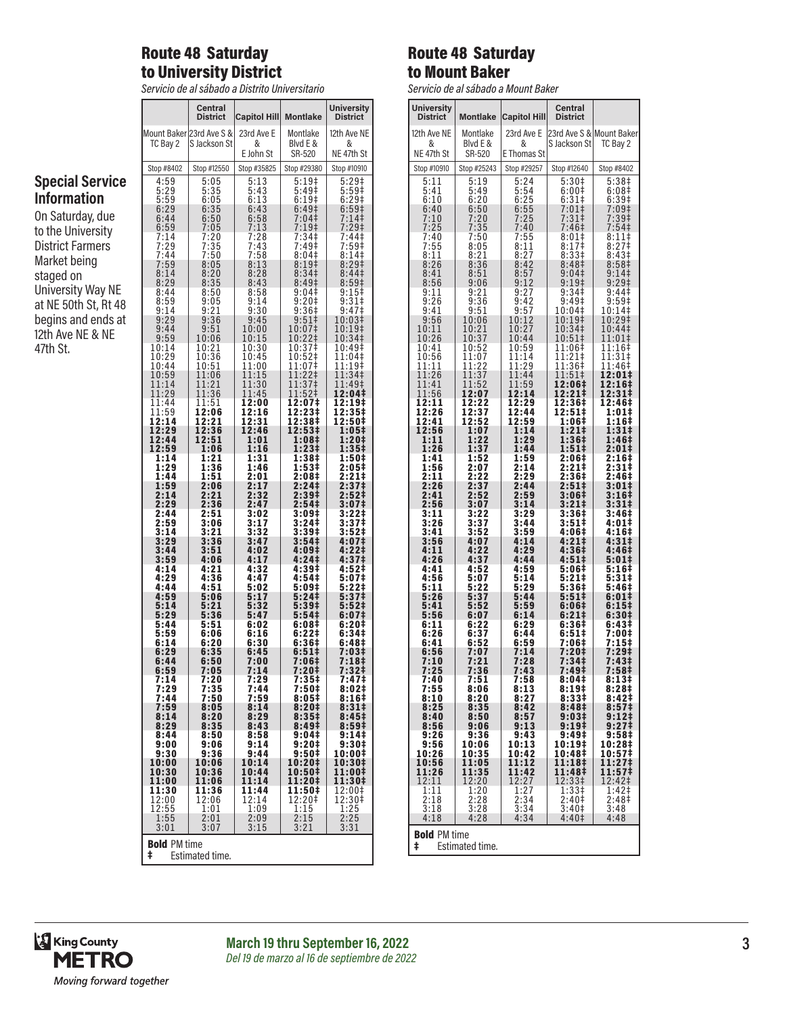# Route 48 Saturday to University District

*Servicio de al sábado a Distrito Universitario*

|                                         |                          | <b>Central</b><br><b>District</b> | <b>Capitol Hill</b> | <b>Montlake</b>                                     | <b>University</b><br><b>District</b> |
|-----------------------------------------|--------------------------|-----------------------------------|---------------------|-----------------------------------------------------|--------------------------------------|
|                                         |                          | Mount Baker 23rd Ave S &          | 23rd Ave E          | Montlake                                            | 12th Ave NE                          |
|                                         | TC Bay 2                 | S Jackson St                      | &<br>E John St      | Blyd E &<br>SR-520                                  | &<br>NE 47th St                      |
|                                         | Stop #8402               | Stop #12550                       | Stop #35825         | Stop #29380                                         | Stop #10910                          |
| <b>Special Service</b>                  | 4:59                     | 5:05                              | 5:13                | 5:19‡                                               | $5:29$ ‡                             |
|                                         | 5:29                     | 5:35                              | 5:43                | 5:49‡                                               | $5:59+$                              |
| <b>Information</b>                      | 5:59<br>6:29             | $6:05$<br>$6:35$                  | 6:13<br>6:43        | 6:19 <sup>‡</sup><br>6:49‡                          | 6:29 <sup>‡</sup><br>6:59‡           |
| On Saturday, due                        | 6:44<br>6:59             | 6:50<br>7:05                      | $6:58$<br>$7:13$    | 7:04‡<br>$7:19+$                                    | 7:14‡<br>7:29‡                       |
| to the University                       | 7:14<br>7:29             | 7:20                              | 7:28                | 7:34‡                                               | 7:44‡                                |
| <b>District Farmers</b><br>Market being | 7:44                     | $7:35$<br>$7:50$                  | 7:43<br>7:58        | 7:49‡<br>8:04‡                                      | 7:59‡<br>8:14‡                       |
| staged on                               | 7:59                     | 8:05                              | 8:13                | 8:19‡                                               | 8:29‡                                |
|                                         | 8:14                     | 8:20                              | 8:28                | 8:34 <sup>‡</sup>                                   | 8:44‡                                |
| <b>University Way NE</b>                | 8:29                     | 8:35                              | 8:43                | 8:49‡                                               | 8:59‡                                |
|                                         | 8:44                     | 8:50                              | $8:58$<br>$9:14$    | $9:04$<br>$9:20$ <sup>+</sup>                       | 9:15‡                                |
| at NE 50th St, Rt 48                    | 8:59<br>9:14             | 9:05<br>9:21                      | 9:30                | 9:36‡                                               | 9:31‡<br>9:47‡                       |
| begins and ends at                      | 9:29                     | 9:36                              | 9:45                | 9:51                                                | 10:03‡                               |
|                                         | 9:44                     | 9:51                              | 10:00               | 10:07‡                                              | 10:19‡                               |
| 12th Ave NE & NE                        | 9:59                     | 10:06                             | 10:15               | 10:22‡                                              | 10:34‡                               |
| 47th St.                                | 10:14                    | 10:21                             | 10:30               | 10:37‡                                              | 10:49‡                               |
|                                         | 10:29                    | 10:36                             | 10:45               | 10:52‡                                              | 11:04‡                               |
|                                         | 10:44                    | 10:51                             | 11:00               | $11:07+$                                            | 11:19‡                               |
|                                         | 10:59                    | 11:06                             | 11:15               | 11:22‡                                              | 11:34‡<br>11:49‡                     |
|                                         | 11:14<br>11:29           | $\frac{11:21}{11:36}$             | 11:30<br>11:45      | 11:37‡<br>11:52‡                                    | 12:04‡                               |
|                                         | 11:44                    | 11:51                             | 12:00               | 12:07‡                                              | 12:19‡                               |
|                                         | 11:59                    | 12:06                             | 12:16               | 12:23‡                                              | 12:35‡                               |
|                                         | 12:14                    | 12:21                             | 12:31               | 12:38‡                                              | 12:50‡                               |
|                                         | 12:29                    | 12:36                             | 12:46               | 12:53‡                                              | 1:05‡                                |
|                                         | 12:44                    | 12:51                             | 1:01                | 1:08‡                                               | 1:20‡                                |
|                                         | 12:59                    | 1:06                              | 1:16                | 1:23‡                                               | 1:35‡                                |
|                                         | 1:14                     | 1:21                              | 1:31                | 1:38‡                                               | 1:50‡                                |
|                                         | 1:29                     | 1:36                              | 1:46                | 1:53‡                                               | 2:05‡                                |
|                                         | 1:44                     | 1:51                              | 2:01                | 2:08‡                                               | 2:21‡                                |
|                                         | 1:59                     | 2:06                              | 2:17                | 2:24‡                                               | 2:37‡                                |
|                                         | 2:14                     | 2:21                              | 2:32                | 2:39‡                                               | 2:52‡                                |
|                                         | 2:29                     | 2:36                              | 2:47                | 2:54‡                                               | 3:07‡                                |
|                                         | 2:44                     | 2:51                              | 3:02                | 3:09‡                                               | 3:22‡                                |
|                                         | 2:59                     | 3:06                              | 3:17                | 3:24‡                                               | 3:37‡                                |
|                                         | 3:14                     | 3:21                              | 3:32                | 3:39‡                                               | 3:52‡                                |
|                                         | 3:29                     | 3:36                              | 3:47                | 3:54‡                                               | 4:07‡                                |
|                                         | 3:44                     | 3:51                              | 4:02                | 4:09‡                                               | 4:22‡                                |
|                                         | 3:59                     | 4:06                              | 4:17                | 4:24‡                                               | 4:37‡                                |
|                                         | 4:14                     | 4:21                              | 4:32                | 4:39‡                                               | 4:52‡                                |
|                                         | 4:29                     | 4:36                              | 4:47                | 4:54‡                                               | 5:07‡                                |
|                                         | 4:44                     | 4:51                              | 5:02                | 5:09‡                                               | 5:22‡                                |
|                                         | 4:59                     | 5:06                              | 5:17                | 5:24‡                                               | 5:37‡                                |
|                                         | 5:14                     | 5:21                              | 5:32                | 5:39‡                                               | 5:52‡                                |
|                                         | 5:29                     | 5:36                              | 5:47                | 5:54‡                                               | 6:07‡                                |
|                                         | 5:44                     | 5:51                              | 6:02                | 6:08‡                                               | 6:20‡                                |
|                                         | 5:59                     | 6:06                              | 6:16                | 6:22‡                                               | 6:34‡                                |
|                                         | 6:14                     | 6:20                              | 6:30                | 6:36‡                                               | 6:48‡                                |
|                                         | 6:29                     | 6:35                              | 6:45                | 6:51‡                                               | 7:03‡                                |
|                                         | 6:44                     | 6:50                              | 7:00                | 7:06‡                                               | 7:18‡                                |
|                                         | 6:59                     | 7:05                              | 7:14                | 7:20‡                                               | 7:32‡                                |
|                                         | 7:14                     | 7:20                              | 7:29                | 7:35‡                                               | 7:47‡                                |
|                                         | 7:29                     | 7:35                              | 7:44                | 7:50#                                               | 8:02‡                                |
|                                         | 7:44                     | 7:50                              | 7:59                | 8:05‡                                               | 8:16#                                |
|                                         | 7:59                     | 8:05                              | 8:14                | 8:20‡                                               | 8:31#                                |
|                                         | 8:14                     | 8:20                              | 8:29                | 8:35‡                                               | 8:45‡                                |
|                                         | 8:29                     | 8:35                              | 8:43                | 8:49‡                                               | 8:59‡                                |
|                                         | 8:44                     | 8:50                              | 8:58                | 9:04 <sup>‡</sup>                                   | 9:14 <sup>‡</sup>                    |
|                                         | 9:00                     | 9:06                              | 9:14                | 9:20 <sup>‡</sup>                                   | 9:30‡                                |
|                                         | 9:30                     | 9:36                              | 9:44                | 9:50 <sup>‡</sup>                                   | 10:00‡                               |
|                                         | 10:00                    | 10:06                             | 10:14               | 10:20‡                                              | 10:30‡                               |
|                                         | 10:30                    | 10:36                             | 10:44               | 10:50‡                                              | 11:00‡                               |
|                                         | 11:00                    | 11:06                             | 11:14               | 11:20‡                                              | 11:30‡                               |
|                                         | 11:30<br>12:00           | 11:36<br>12:06                    | 11:44<br>12:14      | 11:50‡                                              | 12:00‡                               |
|                                         | 12:55                    | 1:01                              | 1:09                | $\begin{array}{c} 12:20\ddagger\\ 1:15 \end{array}$ | 12:30‡<br>1:25                       |
|                                         | 1:55                     | 2:01                              | 2:09                | 2:15                                                | 2:25                                 |
|                                         | 3:01                     | 3:07                              | 3:15                | 3:21                                                | 3:31                                 |
|                                         | <b>Bold PM time</b><br>ŧ | <b>Estimated time.</b>            |                     |                                                     |                                      |

## Route 48 Saturday to Mount Baker

*Servicio de al sábado a Mount Baker*

| <b>University</b><br><b>District</b> | <b>Montlake</b>                                  | <b>Capitol Hill</b>     | Central<br><b>District</b> |                          |
|--------------------------------------|--------------------------------------------------|-------------------------|----------------------------|--------------------------|
| 12th Ave NE                          | Montlake                                         | 23rd Ave E              |                            | 23rd Ave S & Mount Baker |
| &<br>NE 47th St                      | Blvd E &<br>SR-520                               | &<br>E Thomas St        | S Jackson St               | TC Bay 2                 |
| Stop #10910                          | Stop #25243                                      | Stop #29257             | Stop #12640                | Stop #8402               |
| 5:11                                 | 5:19                                             | 5:24                    | 5:30 <sup>‡</sup>          | 5:38 <sup>‡</sup>        |
| 5:41                                 | 5:49                                             | 5:54                    | 6:00‡                      | 6:08‡                    |
| 6:10                                 | 6:20                                             | 6:25                    | $6:31\dagger$              | 6:39‡                    |
| 6:40                                 | 6:50                                             | 6:55                    | $7:01$ ‡                   | 7:09‡                    |
| $7:10$<br>$7:25$                     | 7:20                                             | 7:25                    | 7:31‡                      | 7:39‡                    |
|                                      | 7:35                                             | 7:40                    | 7:46 <sup>‡</sup>          | 7:54‡                    |
| 7:40                                 | 7:50                                             | 7:55                    | 8:01#                      | 8:11‡                    |
| 7:55                                 |                                                  | 8:11                    | 8:17 <sup>‡</sup>          | $8:27\frac{1}{7}$        |
| 8:11                                 | 8:05<br>8:21                                     | 8:27                    | 8:33#                      | 8:43 <sup>‡</sup>        |
| 8:26                                 | 8:36                                             | 8:42                    | 8:48 <sup>‡</sup>          | 8:58‡                    |
| 8:41                                 | 8:51                                             | 8:57                    | 9:04 <sup>‡</sup>          | 9:14                     |
| 8:56                                 | 9:06                                             | 9:12                    | $9:19+$                    | $9:29+$                  |
| 9:11                                 | 9:21                                             | 9:27                    | 9:34 <sup>‡</sup>          | 9:44 <sup>‡</sup>        |
| 9:26                                 | 9:36                                             | 9:42                    | 9:49‡                      | 9:59‡                    |
| 9:41                                 | 9:51                                             | 9:57                    | 10:04‡                     | 10:14‡                   |
| 9:56                                 | 10:06                                            | 10:12                   | 10:19‡                     | 10:29‡                   |
| 10:11                                | 10:21                                            | 10:27                   | 10:34‡                     | 10:44‡                   |
| 10:26                                | 10:37                                            | 10:44                   | 10:51‡                     | 11:01‡                   |
| 10:41                                | 10:52                                            | 10:59                   | 11:06‡                     | 11:16‡                   |
| 10:56                                | 11:07                                            | 11:14                   | 11:21‡                     | 11:31‡                   |
| 11:11                                | $1\bar{1}$ :22                                   | 11.29                   | 11:36‡                     | 11:46‡                   |
| 11:26                                | 11:37                                            | 11:44                   | 11:51‡                     | 12:01‡                   |
| 11:41                                | 11:52                                            | 11:59                   | 12:06‡                     | 12:16‡                   |
| 11:56<br>12:11                       | 12:07                                            | 12:14                   | 12:21‡                     | 12:31‡<br>12:46‡         |
| 12:26<br>12:41                       | 12:22<br>$\overline{1}\overline{2}$ :37<br>12:52 | 12:29<br>12:44<br>12:59 | 12:36‡<br>$12:51*$         | $1:01\ddagger$           |
| 12:56                                | 1:07                                             | 1:14                    | 1:06‡<br>$1:21$ ‡          | 1:16‡<br>1:31‡           |
| 1:11                                 | 1:22                                             | 1:29                    | 1:36‡                      | 1:46‡                    |
| 1:26                                 | 1:37                                             | 1:44                    | $1:51\ddagger$             | 2:01‡                    |
| 1:41                                 | 1:52                                             | 1:59                    | 2:06‡                      | 2:16‡                    |
| 1:56                                 | 2:07                                             | 2:14                    | 2:21‡                      | 2:31‡                    |
| 2:11                                 | 2:22                                             | 2:29                    | 2:36‡                      | 2:46‡                    |
| 2:26                                 | 2:37                                             | 2:44                    | 2:51‡                      | 3:01‡                    |
| 2:41                                 | 2:52                                             | 2:59                    | 3:06‡                      | 3:16‡                    |
| 2:56                                 | 3:07                                             | 3:14                    | $3:21 \;$                  | 3:311                    |
| 3:11                                 | 3:22                                             | 3:29                    | 3:36‡                      | 3:46‡                    |
| 3:26                                 | 3:37                                             | 3:44                    | 3:51‡                      | 4:01‡                    |
| 3:41                                 | 3:52                                             | 3:59                    | 4:06‡                      | 4:16‡                    |
| 3:56                                 | 4:07                                             | 4:14                    | 4:21‡                      | 4:31‡                    |
| 4:11                                 | 4:22                                             | 4:29                    | 4:36‡                      | 4:46‡                    |
| 4:26                                 | 4:37                                             | 4:44                    | 4:51                       | 5:01‡                    |
| 4:41                                 | 4:52                                             | 4:59                    | 5:06‡                      | 5:16‡                    |
| 4:56                                 | 5:07                                             | 5:14                    | 5:21‡                      | 5:31‡                    |
| 5:11                                 | 5:22                                             | 5:29                    | 5:36‡                      | 5:46‡                    |
| 5:26                                 | 5:37                                             | 5:44                    | $5:51\ddagger$             | 6:01‡                    |
| 5:41                                 | 5:52                                             | 5:59                    | 6:06‡                      | 6:15‡                    |
| 5:56                                 | 6:07                                             | 6:14                    | 6:21#                      | 6:30‡                    |
| 6:11                                 | 6:22                                             | 6:29                    | 6:36‡                      | 6:43‡                    |
| 6:26                                 | 6:37                                             | 6:44                    | $6:51\ddagger$             | 7:00‡                    |
| 6:41                                 | 6:52                                             | 6:59                    | 7:06‡                      | 7:15‡                    |
| 6:56                                 | 7:07                                             | 7:14                    | 7:20‡                      | 7:29‡                    |
| 7:10                                 | 7:21                                             | 7:28                    | 7:34‡                      | 7:43‡                    |
| 7:25                                 | 7:36                                             | 7:43                    | 7:49Ŧ                      | 7:58Ŧ                    |
| 7:40                                 | 7:51                                             | 7:58                    | 8:04#                      | 8:13‡                    |
| 7:55                                 | 8:06                                             | 8:13                    | 8:19#                      | 8:28#                    |
| 8:10                                 | 8:20                                             | 8:27                    | 8:33‡                      | 8:42 <sup>‡</sup>        |
| 8:25                                 | 8:35                                             | 8:42                    | 8:48‡                      | 8:57 <sup>‡</sup>        |
| 8:40                                 | 8:50                                             | 8:57                    | $9:03\ddagger$             | 9:12‡                    |
| 8:56                                 | 9:06                                             | 9:13                    | 9:19 <sup>‡</sup>          | 9:27 <sup>‡</sup>        |
| 9:26                                 |                                                  | 9:43                    | 9:49‡                      | 9:58 <sup>‡</sup>        |
| 9:56                                 | 9:36<br>10:06                                    | 10:13                   | 10:19‡                     | 10:28‡                   |
| 10:26                                | 10:35                                            | 10:42                   | 10:48‡                     | 10:57 <sup>‡</sup>       |
| 10:56                                | 11:05                                            | 11:12                   | 11:18‡                     | 11:27‡                   |
| 11:26                                | 11:35                                            | 11:42                   | 11:48‡                     | 11:57‡                   |
| 12:11                                | 12:20                                            | 12:27                   | 12:33‡                     | 12:42‡                   |
| 1:11                                 | 1:20                                             | 1:27                    | 1:33‡                      | 1:42‡                    |
| 2:18                                 | 2:28                                             | 2:34                    | 2:40‡                      | 2:48‡                    |
| 3:18                                 | 3:28                                             | 3:34                    | 3:40 <sup>‡</sup>          | 3:48                     |
| 4:18                                 | 4:28                                             | 4:34                    | 4:40 <sup>‡</sup>          | 4:48                     |
| <b>Bold PM time</b>                  |                                                  |                         |                            |                          |
| ŧ                                    | Estimated time.                                  |                         |                            |                          |